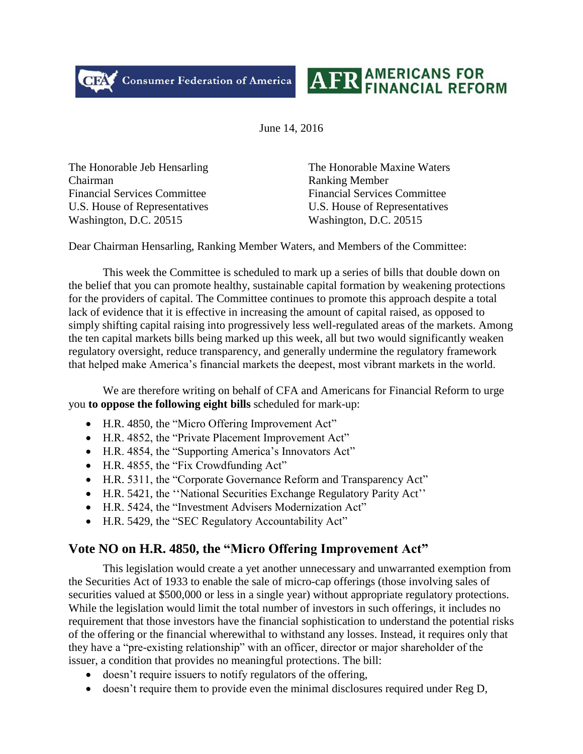CFA Consumer Federation of America



June 14, 2016

The Honorable Jeb Hensarling The Honorable Maxine Waters Chairman Ranking Member Financial Services Committee Financial Services Committee U.S. House of Representatives U.S. House of Representatives Washington, D.C. 20515 Washington, D.C. 20515

Dear Chairman Hensarling, Ranking Member Waters, and Members of the Committee:

This week the Committee is scheduled to mark up a series of bills that double down on the belief that you can promote healthy, sustainable capital formation by weakening protections for the providers of capital. The Committee continues to promote this approach despite a total lack of evidence that it is effective in increasing the amount of capital raised, as opposed to simply shifting capital raising into progressively less well-regulated areas of the markets. Among the ten capital markets bills being marked up this week, all but two would significantly weaken regulatory oversight, reduce transparency, and generally undermine the regulatory framework that helped make America's financial markets the deepest, most vibrant markets in the world.

We are therefore writing on behalf of CFA and Americans for Financial Reform to urge you **to oppose the following eight bills** scheduled for mark-up:

- H.R. 4850, the "Micro Offering Improvement Act"
- H.R. 4852, the "Private Placement Improvement Act"
- H.R. 4854, the "Supporting America's Innovators Act"
- H.R. 4855, the "Fix Crowdfunding Act"
- H.R. 5311, the "Corporate Governance Reform and Transparency Act"
- H.R. 5421, the ''National Securities Exchange Regulatory Parity Act''
- H.R. 5424, the "Investment Advisers Modernization Act"
- H.R. 5429, the "SEC Regulatory Accountability Act"

# **Vote NO on H.R. 4850, the "Micro Offering Improvement Act"**

This legislation would create a yet another unnecessary and unwarranted exemption from the Securities Act of 1933 to enable the sale of micro-cap offerings (those involving sales of securities valued at \$500,000 or less in a single year) without appropriate regulatory protections. While the legislation would limit the total number of investors in such offerings, it includes no requirement that those investors have the financial sophistication to understand the potential risks of the offering or the financial wherewithal to withstand any losses. Instead, it requires only that they have a "pre-existing relationship" with an officer, director or major shareholder of the issuer, a condition that provides no meaningful protections. The bill:

- doesn't require issuers to notify regulators of the offering,
- doesn't require them to provide even the minimal disclosures required under Reg D,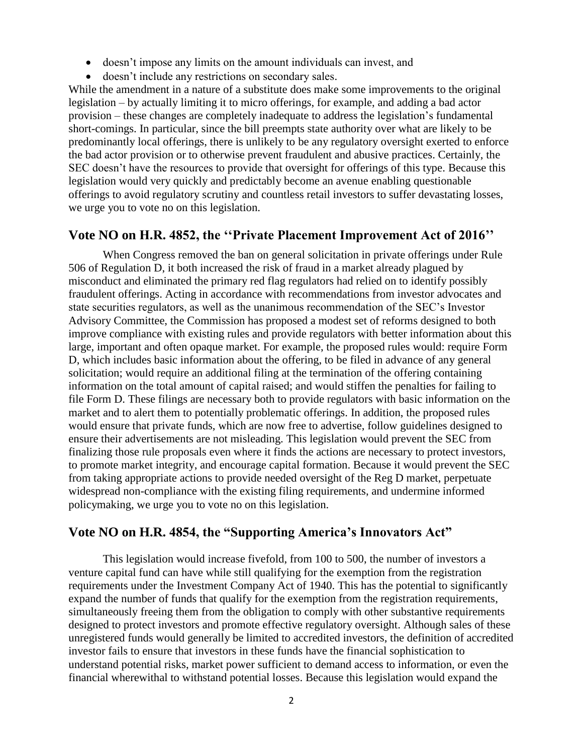- doesn't impose any limits on the amount individuals can invest, and
- doesn't include any restrictions on secondary sales.

While the amendment in a nature of a substitute does make some improvements to the original legislation – by actually limiting it to micro offerings, for example, and adding a bad actor provision – these changes are completely inadequate to address the legislation's fundamental short-comings. In particular, since the bill preempts state authority over what are likely to be predominantly local offerings, there is unlikely to be any regulatory oversight exerted to enforce the bad actor provision or to otherwise prevent fraudulent and abusive practices. Certainly, the SEC doesn't have the resources to provide that oversight for offerings of this type. Because this legislation would very quickly and predictably become an avenue enabling questionable offerings to avoid regulatory scrutiny and countless retail investors to suffer devastating losses, we urge you to vote no on this legislation.

### **Vote NO on H.R. 4852, the ''Private Placement Improvement Act of 2016''**

When Congress removed the ban on general solicitation in private offerings under Rule 506 of Regulation D, it both increased the risk of fraud in a market already plagued by misconduct and eliminated the primary red flag regulators had relied on to identify possibly fraudulent offerings. Acting in accordance with recommendations from investor advocates and state securities regulators, as well as the unanimous recommendation of the SEC's Investor Advisory Committee, the Commission has proposed a modest set of reforms designed to both improve compliance with existing rules and provide regulators with better information about this large, important and often opaque market. For example, the proposed rules would: require Form D, which includes basic information about the offering, to be filed in advance of any general solicitation; would require an additional filing at the termination of the offering containing information on the total amount of capital raised; and would stiffen the penalties for failing to file Form D. These filings are necessary both to provide regulators with basic information on the market and to alert them to potentially problematic offerings. In addition, the proposed rules would ensure that private funds, which are now free to advertise, follow guidelines designed to ensure their advertisements are not misleading. This legislation would prevent the SEC from finalizing those rule proposals even where it finds the actions are necessary to protect investors, to promote market integrity, and encourage capital formation. Because it would prevent the SEC from taking appropriate actions to provide needed oversight of the Reg D market, perpetuate widespread non-compliance with the existing filing requirements, and undermine informed policymaking, we urge you to vote no on this legislation.

# **Vote NO on H.R. 4854, the "Supporting America's Innovators Act"**

This legislation would increase fivefold, from 100 to 500, the number of investors a venture capital fund can have while still qualifying for the exemption from the registration requirements under the Investment Company Act of 1940. This has the potential to significantly expand the number of funds that qualify for the exemption from the registration requirements, simultaneously freeing them from the obligation to comply with other substantive requirements designed to protect investors and promote effective regulatory oversight. Although sales of these unregistered funds would generally be limited to accredited investors, the definition of accredited investor fails to ensure that investors in these funds have the financial sophistication to understand potential risks, market power sufficient to demand access to information, or even the financial wherewithal to withstand potential losses. Because this legislation would expand the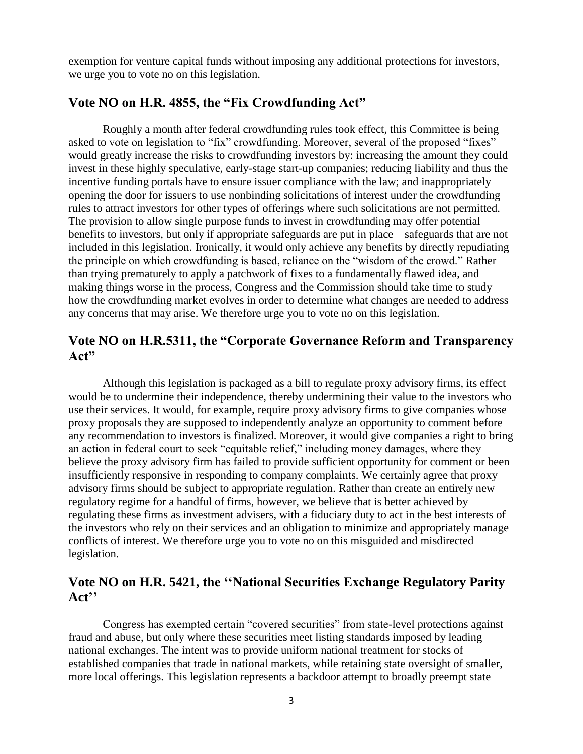exemption for venture capital funds without imposing any additional protections for investors, we urge you to vote no on this legislation.

### **Vote NO on H.R. 4855, the "Fix Crowdfunding Act"**

Roughly a month after federal crowdfunding rules took effect, this Committee is being asked to vote on legislation to "fix" crowdfunding. Moreover, several of the proposed "fixes" would greatly increase the risks to crowdfunding investors by: increasing the amount they could invest in these highly speculative, early-stage start-up companies; reducing liability and thus the incentive funding portals have to ensure issuer compliance with the law; and inappropriately opening the door for issuers to use nonbinding solicitations of interest under the crowdfunding rules to attract investors for other types of offerings where such solicitations are not permitted. The provision to allow single purpose funds to invest in crowdfunding may offer potential benefits to investors, but only if appropriate safeguards are put in place – safeguards that are not included in this legislation. Ironically, it would only achieve any benefits by directly repudiating the principle on which crowdfunding is based, reliance on the "wisdom of the crowd." Rather than trying prematurely to apply a patchwork of fixes to a fundamentally flawed idea, and making things worse in the process, Congress and the Commission should take time to study how the crowdfunding market evolves in order to determine what changes are needed to address any concerns that may arise. We therefore urge you to vote no on this legislation.

## **Vote NO on H.R.5311, the "Corporate Governance Reform and Transparency Act"**

Although this legislation is packaged as a bill to regulate proxy advisory firms, its effect would be to undermine their independence, thereby undermining their value to the investors who use their services. It would, for example, require proxy advisory firms to give companies whose proxy proposals they are supposed to independently analyze an opportunity to comment before any recommendation to investors is finalized. Moreover, it would give companies a right to bring an action in federal court to seek "equitable relief," including money damages, where they believe the proxy advisory firm has failed to provide sufficient opportunity for comment or been insufficiently responsive in responding to company complaints. We certainly agree that proxy advisory firms should be subject to appropriate regulation. Rather than create an entirely new regulatory regime for a handful of firms, however, we believe that is better achieved by regulating these firms as investment advisers, with a fiduciary duty to act in the best interests of the investors who rely on their services and an obligation to minimize and appropriately manage conflicts of interest. We therefore urge you to vote no on this misguided and misdirected legislation.

## **Vote NO on H.R. 5421, the ''National Securities Exchange Regulatory Parity Act''**

Congress has exempted certain "covered securities" from state-level protections against fraud and abuse, but only where these securities meet listing standards imposed by leading national exchanges. The intent was to provide uniform national treatment for stocks of established companies that trade in national markets, while retaining state oversight of smaller, more local offerings. This legislation represents a backdoor attempt to broadly preempt state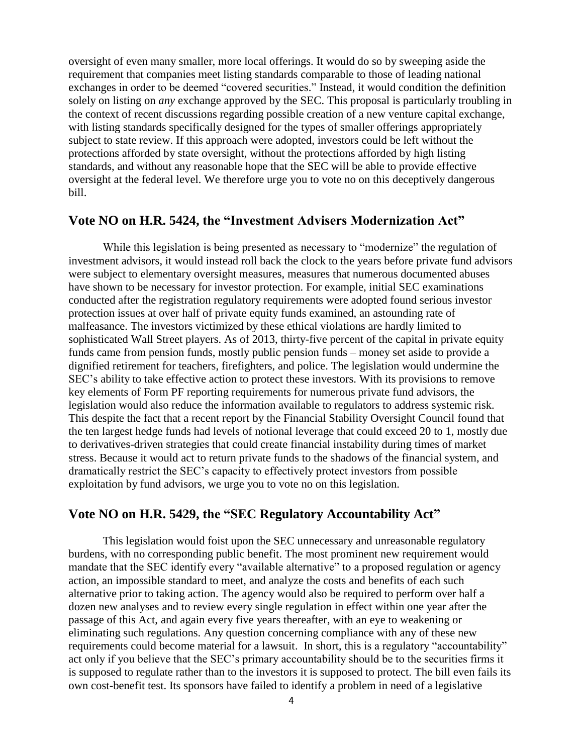oversight of even many smaller, more local offerings. It would do so by sweeping aside the requirement that companies meet listing standards comparable to those of leading national exchanges in order to be deemed "covered securities." Instead, it would condition the definition solely on listing on *any* exchange approved by the SEC. This proposal is particularly troubling in the context of recent discussions regarding possible creation of a new venture capital exchange, with listing standards specifically designed for the types of smaller offerings appropriately subject to state review. If this approach were adopted, investors could be left without the protections afforded by state oversight, without the protections afforded by high listing standards, and without any reasonable hope that the SEC will be able to provide effective oversight at the federal level. We therefore urge you to vote no on this deceptively dangerous bill.

#### **Vote NO on H.R. 5424, the "Investment Advisers Modernization Act"**

While this legislation is being presented as necessary to "modernize" the regulation of investment advisors, it would instead roll back the clock to the years before private fund advisors were subject to elementary oversight measures, measures that numerous documented abuses have shown to be necessary for investor protection. For example, initial SEC examinations conducted after the registration regulatory requirements were adopted found serious investor protection issues at over half of private equity funds examined, an astounding rate of malfeasance. The investors victimized by these ethical violations are hardly limited to sophisticated Wall Street players. As of 2013, thirty-five percent of the capital in private equity funds came from pension funds, mostly public pension funds – money set aside to provide a dignified retirement for teachers, firefighters, and police. The legislation would undermine the SEC's ability to take effective action to protect these investors. With its provisions to remove key elements of Form PF reporting requirements for numerous private fund advisors, the legislation would also reduce the information available to regulators to address systemic risk. This despite the fact that a recent report by the Financial Stability Oversight Council found that the ten largest hedge funds had levels of notional leverage that could exceed 20 to 1, mostly due to derivatives-driven strategies that could create financial instability during times of market stress. Because it would act to return private funds to the shadows of the financial system, and dramatically restrict the SEC's capacity to effectively protect investors from possible exploitation by fund advisors, we urge you to vote no on this legislation.

### **Vote NO on H.R. 5429, the "SEC Regulatory Accountability Act"**

This legislation would foist upon the SEC unnecessary and unreasonable regulatory burdens, with no corresponding public benefit. The most prominent new requirement would mandate that the SEC identify every "available alternative" to a proposed regulation or agency action, an impossible standard to meet, and analyze the costs and benefits of each such alternative prior to taking action. The agency would also be required to perform over half a dozen new analyses and to review every single regulation in effect within one year after the passage of this Act, and again every five years thereafter, with an eye to weakening or eliminating such regulations. Any question concerning compliance with any of these new requirements could become material for a lawsuit. In short, this is a regulatory "accountability" act only if you believe that the SEC's primary accountability should be to the securities firms it is supposed to regulate rather than to the investors it is supposed to protect. The bill even fails its own cost-benefit test. Its sponsors have failed to identify a problem in need of a legislative